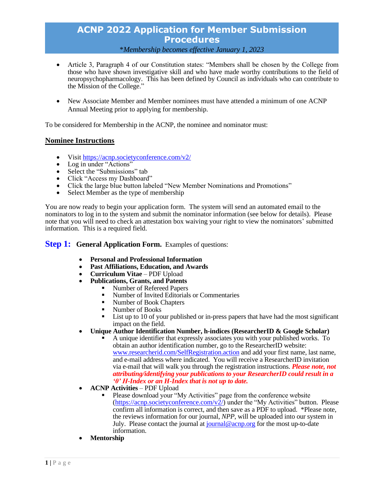### \**Membership becomes effective January 1, 2023*

- Article 3, Paragraph 4 of our Constitution states: "Members shall be chosen by the College from those who have shown investigative skill and who have made worthy contributions to the field of neuropsychopharmacology. This has been defined by Council as individuals who can contribute to the Mission of the College."
- New Associate Member and Member nominees must have attended a minimum of one ACNP Annual Meeting prior to applying for membership.

To be considered for Membership in the ACNP, the nominee and nominator must:

### **Nominee Instructions**

- Visit<https://acnp.societyconference.com/v2/>
- Log in under "Actions"
- Select the "Submissions" tab
- Click "Access my Dashboard"
- Click the large blue button labeled "New Member Nominations and Promotions"<br>• Select Member as the type of membership
- Select Member as the type of membership

You are now ready to begin your application form. The system will send an automated email to the nominators to log in to the system and submit the nominator information (see below for details). Please note that you will need to check an attestation box waiving your right to view the nominators' submitted information. This is a required field.

## **Step 1:** General Application Form. Examples of questions:

- **Personal and Professional Information**
- **Past Affiliations, Education, and Awards**
- **Curriculum Vitae PDF Upload**<br>• **Publications. Grants. and Patents**
- **Publications, Grants, and Patents**
	- Number of Refereed Papers
	- Number of Invited Editorials or Commentaries
	- Number of Book Chapters
	- Number of Books
	- List up to 10 of your published or in-press papers that have had the most significant impact on the field.
- **Unique Author Identification Number, h-indices (ResearcherID & Google Scholar)**
	- A unique identifier that expressly associates you with your published works. To obtain an author identification number, go to the ResearcherID website: [www.researcherid.com/SelfRegistration.action](http://www.researcherid.com/SelfRegistration.action) and add your first name, last name, and e-mail address where indicated. You will receive a ResearcherID invitation via e-mail that will walk you through the registration instructions. *Please note, not attributing/identifying your publications to your ResearcherID could result in a '0' H-Index or an H-Index that is not up to date.*
- **ACNP Activities** PDF Upload
	- Please download your "My Activities" page from the conference website [\(https://acnp.societyconference.com/v2/\)](https://acnp.societyconference.com/v2/) under the "My Activities" button. Please confirm all information is correct, and then save as a PDF to upload. \*Please note, the reviews information for our journal, *NPP*, will be uploaded into our system in July. Please contact the journal at [journal@acnp.org](mailto:journal@acnp.org) for the most up-to-date information.
- **Mentorship**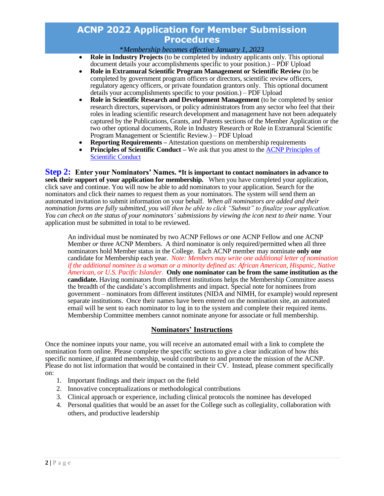\**Membership becomes effective January 1, 2023*

- **Role in Industry Projects** (to be completed by industry applicants only. This optional document details your accomplishments specific to your position.) – PDF Upload
- **Role in Extramural Scientific Program Management or Scientific Review** (to be completed by government program officers or directors, scientific review officers, regulatory agency officers, or private foundation grantors only. This optional document details your accomplishments specific to your position.) – PDF Upload
- **Role in Scientific Research and Development Management** (to be completed by senior research directors, supervisors, or policy administrators from any sector who feel that their roles in leading scientific research development and management have not been adequately captured by the Publications, Grants, and Patents sections of the Member Application or the two other optional documents, Role in Industry Research or Role in Extramural Scientific Program Management or Scientific Review.) – PDF Upload
- **Reporting Requirements –** Attestation questions on membership requirements
- **Principles of Scientific Conduct** We ask that you attest to the ACNP Principles of [Scientific Conduct](https://pmg.joynadmin.org/documents/1001/5e66476468ed3f4575db0935.pdf)

**Step 2: Enter your Nominators' Names. \*It is important to contact nominators in advance to seek their support of your application for membership.** When you have completed your application, click save and continue. You will now be able to add nominators to your application. Search for the nominators and click their names to request them as your nominators. The system will send them an automated invitation to submit information on your behalf. *When all nominators are added and their nomination forms are fully submitted, you will then be able to click "Submit" to finalize your application. You can check on the status of your nominators' submissions by viewing the icon next to their name.* Your application must be submitted in total to be reviewed.

An individual must be nominated by two ACNP Fellows *or* one ACNP Fellow and one ACNP Member *or* three ACNP Members. A third nominator is only required/permitted when all three nominators hold Member status in the College. Each ACNP member may nominate **only one** candidate for Membership each year. *Note: Members may write one additional letter of nomination if the additional nominee is a woman or a minority defined as: African American, Hispanic, Native American, or U.S. Pacific Islander.* **Only one nominator can be from the same institution as the candidate.** Having nominators from different institutions helps the Membership Committee assess the breadth of the candidate's accomplishments and impact. Special note for nominees from government – nominators from different institutes (NIDA and NIMH, for example) would represent separate institutions.Once their names have been entered on the nomination site, an automated email will be sent to each nominator to log in to the system and complete their required items. Membership Committee members cannot nominate anyone for associate or full membership.

### **Nominators' Instructions**

Once the nominee inputs your name, you will receive an automated email with a link to complete the nomination form online. Please complete the specific sections to give a clear indication of how this specific nominee, if granted membership, would contribute to and promote the mission of the ACNP. Please do not list information that would be contained in their CV. Instead, please comment specifically on:

- 1. Important findings and their impact on the field
- 2. Innovative conceptualizations or methodological contributions
- 3. Clinical approach or experience, including clinical protocols the nominee has developed
- 4. Personal qualities that would be an asset for the College such as collegiality, collaboration with others, and productive leadership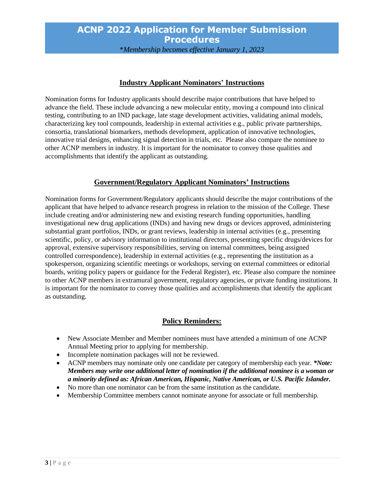\**Membership becomes effective January 1, 2023*

## **Industry Applicant Nominators' Instructions**

Nomination forms for Industry applicants should describe major contributions that have helped to advance the field. These include advancing a new molecular entity, moving a compound into clinical testing, contributing to an IND package, late stage development activities, validating animal models, characterizing key tool compounds, leadership in external activities e.g., public private partnerships, consortia, translational biomarkers, methods development, application of innovative technologies, innovative trial designs, enhancing signal detection in trials, etc. Please also compare the nominee to other ACNP members in industry. It is important for the nominator to convey those qualities and accomplishments that identify the applicant as outstanding.

# **Government/Regulatory Applicant Nominators' Instructions**

Nomination forms for Government/Regulatory applicants should describe the major contributions of the applicant that have helped to advance research progress in relation to the mission of the College. These include creating and/or administering new and existing research funding opportunities, handling investigational new drug applications (INDs) and having new drugs or devices approved, administering substantial grant portfolios, INDs, or grant reviews, leadership in internal activities (e.g., presenting scientific, policy, or advisory information to institutional directors, presenting specific drugs/devices for approval, extensive supervisory responsibilities, serving on internal committees, being assigned controlled correspondence), leadership in external activities (e.g., representing the institution as a spokesperson, organizing scientific meetings or workshops, serving on external committees or editorial boards, writing policy papers or guidance for the Federal Register), etc. Please also compare the nominee to other ACNP members in extramural government, regulatory agencies, or private funding institutions. It is important for the nominator to convey those qualities and accomplishments that identify the applicant as outstanding.

# **Policy Reminders:**

- New Associate Member and Member nominees must have attended a minimum of one ACNP Annual Meeting prior to applying for membership.
- Incomplete nomination packages will not be reviewed.
- ACNP members may nominate only one candidate per category of membership each year. *\*Note: Members may write one additional letter of nomination if the additional nominee is a woman or a minority defined as: African American, Hispanic, Native American, or U.S. Pacific Islander.*
- No more than one nominator can be from the same institution as the candidate.
- Membership Committee members cannot nominate anyone for associate or full membership.